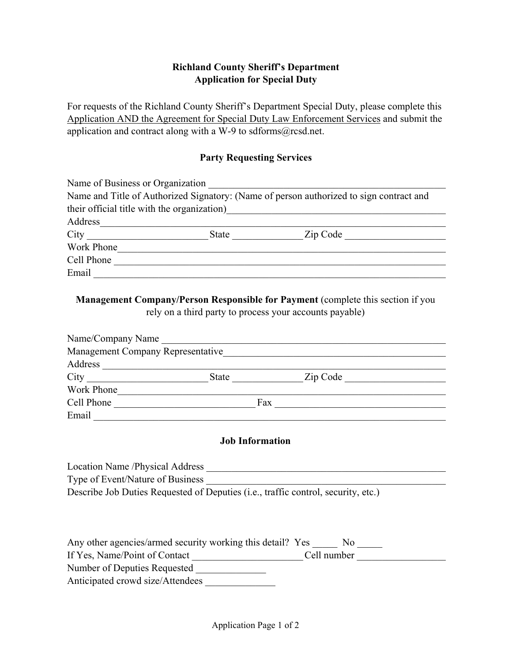# **Richland County Sheriff's Department Application for Special Duty**

For requests of the Richland County Sheriff's Department Special Duty, please complete this Application AND the Agreement for Special Duty Law Enforcement Services and submit the application and contract along with a W-9 to sdforms@rcsd.net.

#### **Party Requesting Services**

| Name of Business or Organization |       |                                                                                         |
|----------------------------------|-------|-----------------------------------------------------------------------------------------|
|                                  |       | Name and Title of Authorized Signatory: (Name of person authorized to sign contract and |
|                                  |       | their official title with the organization)                                             |
| Address                          |       |                                                                                         |
| City                             | State | Zip Code                                                                                |
| Work Phone                       |       |                                                                                         |
| Cell Phone                       |       |                                                                                         |
| Email                            |       |                                                                                         |
|                                  |       |                                                                                         |

# **Management Company/Person Responsible for Payment** (complete this section if you rely on a third party to process your accounts payable)

| Name/Company Name                 |              |          |  |
|-----------------------------------|--------------|----------|--|
| Management Company Representative |              |          |  |
| Address                           |              |          |  |
| City                              | <b>State</b> | Zip Code |  |
| Work Phone                        |              |          |  |
| Cell Phone                        | Fax          |          |  |
| Email                             |              |          |  |

#### **Job Information**

| Location Name /Physical Address                                                            |
|--------------------------------------------------------------------------------------------|
| Type of Event/Nature of Business                                                           |
| Describe Job Duties Requested of Deputies ( <i>i.e.</i> , traffic control, security, etc.) |

| Any other agencies/armed security working this detail? Yes | N <sub>0</sub> |  |
|------------------------------------------------------------|----------------|--|
| If Yes, Name/Point of Contact                              | Cell number    |  |
| Number of Deputies Requested                               |                |  |
| Anticipated crowd size/Attendees                           |                |  |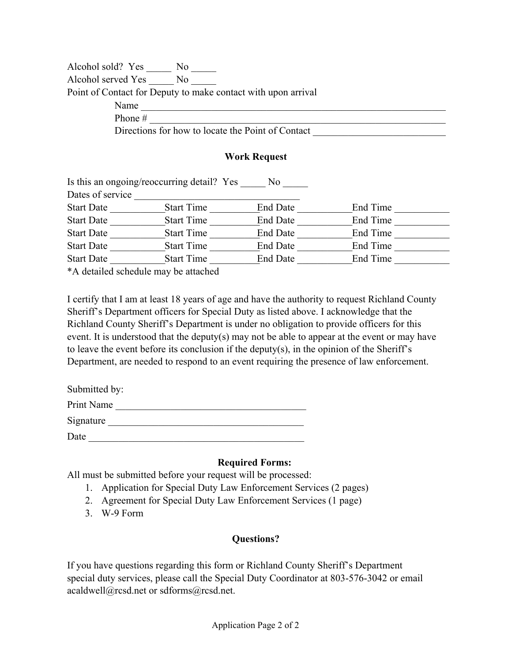Point of Contact for Deputy to make contact with upon arrival Name Alcohol sold? Yes \_\_\_\_\_\_ No \_\_\_\_\_ Alcohol served Yes No Phone  $\#$ Directions for how to locate the Point of Contact

#### **Work Request**

|                   | Is this an ongoing/reoccurring detail? Yes | No.             |          |  |
|-------------------|--------------------------------------------|-----------------|----------|--|
| Dates of service  |                                            |                 |          |  |
| <b>Start Date</b> | <b>Start Time</b>                          | <b>End Date</b> | End Time |  |
| <b>Start Date</b> | <b>Start Time</b>                          | <b>End Date</b> | End Time |  |
| <b>Start Date</b> | <b>Start Time</b>                          | <b>End Date</b> | End Time |  |
| <b>Start Date</b> | <b>Start Time</b>                          | <b>End Date</b> | End Time |  |
| <b>Start Date</b> | <b>Start Time</b>                          | <b>End Date</b> | End Time |  |
|                   | *A detailed schedule may be attached       |                 |          |  |

I certify that I am at least 18 years of age and have the authority to request Richland County Sheriff's Department officers for Special Duty as listed above. I acknowledge that the Richland County Sheriff's Department is under no obligation to provide officers for this event. It is understood that the deputy(s) may not be able to appear at the event or may have to leave the event before its conclusion if the deputy(s), in the opinion of the Sheriff's Department, are needed to respond to an event requiring the presence of law enforcement.

| Submitted by: |
|---------------|
| Print Name    |
| Signature     |
| Date          |

## **Required Forms:**

All must be submitted before your request will be processed:

- 1. Application for Special Duty Law Enforcement Services (2 pages)
- 2. Agreement for Special Duty Law Enforcement Services (1 page)
- 3. W-9 Form

## **Questions?**

If you have questions regarding this form or Richland County Sheriff's Department special duty services, please call the Special Duty Coordinator at 803-576-3042 or email acaldwell@rcsd.net or sdforms@rcsd.net.